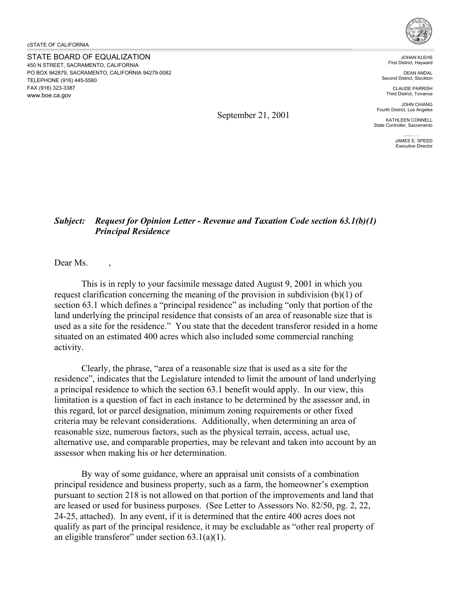STATE BOARD OF EQUALIZATION 450 N STREET, SACRAMENTO, CALIFORNIA PO BOX 942879, SACRAMENTO, CALIFORNIA 94279-0082 TELEPHONE (916) 445-5580 FAX (916) 323-3387 <www.boe.ca.gov>



JOHAN KLEHS First District, Hayward

DEAN ANDAL Second District, Stockton

CLAUDE PARRISH Third District, Torrance

JOHN CHIANG Fourth District, Los Angeles

KATHLEEN CONNELL State Controller, Sacramento

> JAMES E. SPEED Executive Director

## *Subject: Request for Opinion Letter - Revenue and Taxation Code section 63.1(b)(1) Principal Residence*

September 21, 2001

Dear Ms.

This is in reply to your facsimile message dated August 9, 2001 in which you request clarification concerning the meaning of the provision in subdivision  $(b)(1)$  of section 63.1 which defines a "principal residence" as including "only that portion of the land underlying the principal residence that consists of an area of reasonable size that is used as a site for the residence." You state that the decedent transferor resided in a home situated on an estimated 400 acres which also included some commercial ranching activity.

Clearly, the phrase, "area of a reasonable size that is used as a site for the residence", indicates that the Legislature intended to limit the amount of land underlying a principal residence to which the section 63.1 benefit would apply. In our view, this limitation is a question of fact in each instance to be determined by the assessor and, in this regard, lot or parcel designation, minimum zoning requirements or other fixed criteria may be relevant considerations. Additionally, when determining an area of reasonable size, numerous factors, such as the physical terrain, access, actual use, alternative use, and comparable properties, may be relevant and taken into account by an assessor when making his or her determination.

By way of some guidance, where an appraisal unit consists of a combination principal residence and business property, such as a farm, the homeowner's exemption pursuant to section 218 is not allowed on that portion of the improvements and land that are leased or used for business purposes. (See Letter to Assessors No. 82/50, pg. 2, 22, 24-25, attached). In any event, if it is determined that the entire 400 acres does not qualify as part of the principal residence, it may be excludable as "other real property of an eligible transferor" under section  $63.1(a)(1)$ .